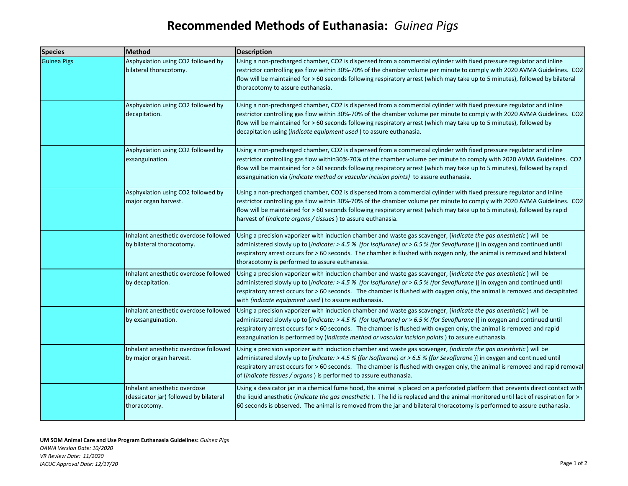## **Recommended Methods of Euthanasia:** *Guinea Pigs*

| <b>Species</b>     | <b>Method</b>                                                                          | <b>Description</b>                                                                                                                                                                                                                                                                                                                                                                                                                                                           |
|--------------------|----------------------------------------------------------------------------------------|------------------------------------------------------------------------------------------------------------------------------------------------------------------------------------------------------------------------------------------------------------------------------------------------------------------------------------------------------------------------------------------------------------------------------------------------------------------------------|
| <b>Guinea Pigs</b> | Asphyxiation using CO2 followed by<br>bilateral thoracotomy.                           | Using a non-precharged chamber, CO2 is dispensed from a commercial cylinder with fixed pressure regulator and inline<br>restrictor controlling gas flow within 30%-70% of the chamber volume per minute to comply with 2020 AVMA Guidelines. CO2<br>flow will be maintained for > 60 seconds following respiratory arrest (which may take up to 5 minutes), followed by bilateral<br>thoracotomy to assure euthanasia.                                                       |
|                    | Asphyxiation using CO2 followed by<br>decapitation.                                    | Using a non-precharged chamber, CO2 is dispensed from a commercial cylinder with fixed pressure regulator and inline<br>restrictor controlling gas flow within 30%-70% of the chamber volume per minute to comply with 2020 AVMA Guidelines. CO2<br>flow will be maintained for > 60 seconds following respiratory arrest (which may take up to 5 minutes), followed by<br>decapitation using (indicate equipment used) to assure euthanasia.                                |
|                    | Asphyxiation using CO2 followed by<br>exsanguination.                                  | Using a non-precharged chamber, CO2 is dispensed from a commercial cylinder with fixed pressure regulator and inline<br>restrictor controlling gas flow within30%-70% of the chamber volume per minute to comply with 2020 AVMA Guidelines. CO2<br>flow will be maintained for > 60 seconds following respiratory arrest (which may take up to 5 minutes), followed by rapid<br>exsanguination via (indicate method or vascular incision points) to assure euthanasia.       |
|                    | Asphyxiation using CO2 followed by<br>major organ harvest.                             | Using a non-precharged chamber, CO2 is dispensed from a commercial cylinder with fixed pressure regulator and inline<br>restrictor controlling gas flow within 30%-70% of the chamber volume per minute to comply with 2020 AVMA Guidelines. CO2<br>flow will be maintained for > 60 seconds following respiratory arrest (which may take up to 5 minutes), followed by rapid<br>harvest of (indicate organs / tissues) to assure euthanasia.                                |
|                    | Inhalant anesthetic overdose followed<br>by bilateral thoracotomy.                     | Using a precision vaporizer with induction chamber and waste gas scavenger, (indicate the gas anesthetic) will be<br>administered slowly up to [indicate: > 4.5 % (for Isoflurane) or > 6.5 % (for Sevoflurane)] in oxygen and continued until<br>respiratory arrest occurs for > 60 seconds. The chamber is flushed with oxygen only, the animal is removed and bilateral<br>thoracotomy is performed to assure euthanasia.                                                 |
|                    | Inhalant anesthetic overdose followed<br>by decapitation.                              | Using a precision vaporizer with induction chamber and waste gas scavenger, (indicate the gas anesthetic) will be<br>administered slowly up to [indicate: > 4.5 % (for Isoflurane) or > 6.5 % (for Sevoflurane)] in oxygen and continued until<br>respiratory arrest occurs for > 60 seconds. The chamber is flushed with oxygen only, the animal is removed and decapitated<br>with <i>(indicate equipment used)</i> to assure euthanasia.                                  |
|                    | Inhalant anesthetic overdose followed<br>by exsanguination.                            | Using a precision vaporizer with induction chamber and waste gas scavenger, (indicate the gas anesthetic) will be<br>administered slowly up to [indicate: > 4.5 % (for Isoflurane) or > 6.5 % (for Sevoflurane)] in oxygen and continued until<br>respiratory arrest occurs for > 60 seconds. The chamber is flushed with oxygen only, the animal is removed and rapid<br>exsanguination is performed by (indicate method or vascular incision points) to assure euthanasia. |
|                    | Inhalant anesthetic overdose followed<br>by major organ harvest.                       | Using a precision vaporizer with induction chamber and waste gas scavenger, <i>(indicate the gas anesthetic</i> ) will be<br>administered slowly up to [indicate: > 4.5 % (for Isoflurane) or > 6.5 % (for Sevoflurane)] in oxygen and continued until<br>respiratory arrest occurs for > 60 seconds. The chamber is flushed with oxygen only, the animal is removed and rapid removal<br>of (indicate tissues / organs) is performed to assure euthanasia.                  |
|                    | Inhalant anesthetic overdose<br>(dessicator jar) followed by bilateral<br>thoracotomy. | Using a dessicator jar in a chemical fume hood, the animal is placed on a perforated platform that prevents direct contact with<br>the liquid anesthetic (indicate the gas anesthetic). The lid is replaced and the animal monitored until lack of respiration for ><br>60 seconds is observed. The animal is removed from the jar and bilateral thoracotomy is performed to assure euthanasia.                                                                              |